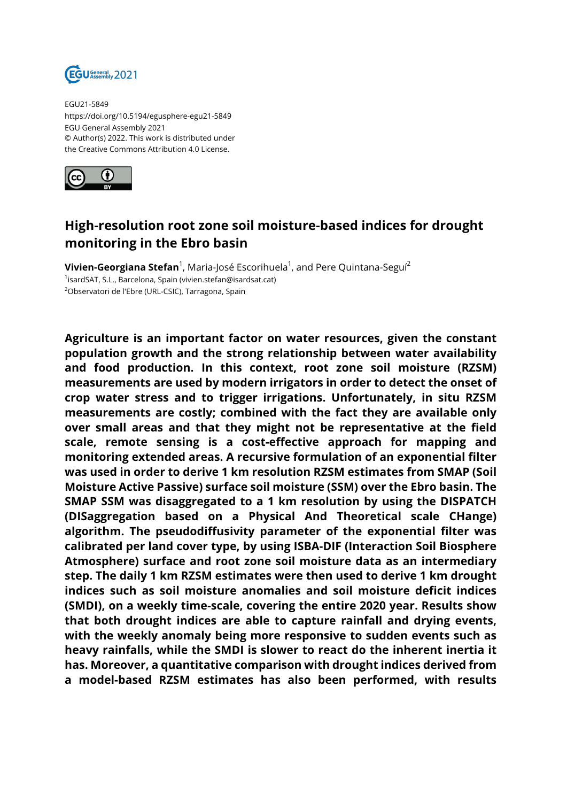

EGU21-5849 https://doi.org/10.5194/egusphere-egu21-5849 EGU General Assembly 2021 © Author(s) 2022. This work is distributed under the Creative Commons Attribution 4.0 License.



## **High-resolution root zone soil moisture-based indices for drought monitoring in the Ebro basin**

**Vivien-Georgiana Stefan**<sup>1</sup>, Maria-José Escorihuela<sup>1</sup>, and Pere Quintana-Seguí<sup>2</sup> 1 isardSAT, S.L., Barcelona, Spain (vivien.stefan@isardsat.cat) <sup>2</sup>Observatori de l'Ebre (URL-CSIC), Tarragona, Spain

**Agriculture is an important factor on water resources, given the constant population growth and the strong relationship between water availability and food production. In this context, root zone soil moisture (RZSM) measurements are used by modern irrigators in order to detect the onset of crop water stress and to trigger irrigations. Unfortunately, in situ RZSM measurements are costly; combined with the fact they are available only over small areas and that they might not be representative at the field scale, remote sensing is a cost-effective approach for mapping and monitoring extended areas. A recursive formulation of an exponential filter was used in order to derive 1 km resolution RZSM estimates from SMAP (Soil Moisture Active Passive) surface soil moisture (SSM) over the Ebro basin. The SMAP SSM was disaggregated to a 1 km resolution by using the DISPATCH (DISaggregation based on a Physical And Theoretical scale CHange) algorithm. The pseudodiffusivity parameter of the exponential filter was calibrated per land cover type, by using ISBA-DIF (Interaction Soil Biosphere Atmosphere) surface and root zone soil moisture data as an intermediary step. The daily 1 km RZSM estimates were then used to derive 1 km drought indices such as soil moisture anomalies and soil moisture deficit indices (SMDI), on a weekly time-scale, covering the entire 2020 year. Results show that both drought indices are able to capture rainfall and drying events, with the weekly anomaly being more responsive to sudden events such as heavy rainfalls, while the SMDI is slower to react do the inherent inertia it has. Moreover, a quantitative comparison with drought indices derived from a model-based RZSM estimates has also been performed, with results**